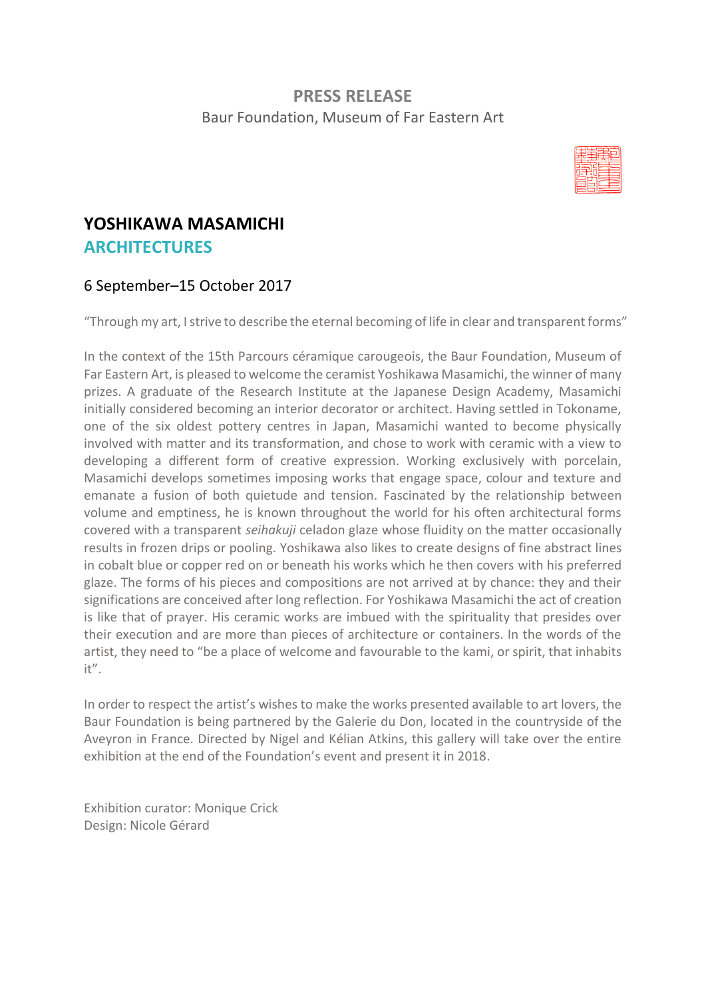# **PRESS RELEASE** Baur Foundation, Museum of Far Eastern Art



# **YOSHIKAWA MASAMICHI ARCHITECTURES**

## 6 September–15 October 2017

"Through my art, I strive to describe the eternal becoming of life in clear and transparent forms"

In the context of the 15th Parcours céramique carougeois, the Baur Foundation, Museum of Far Eastern Art, is pleased to welcome the ceramist Yoshikawa Masamichi, the winner of many prizes. A graduate of the Research Institute at the Japanese Design Academy, Masamichi initially considered becoming an interior decorator or architect. Having settled in Tokoname, one of the six oldest pottery centres in Japan, Masamichi wanted to become physically involved with matter and its transformation, and chose to work with ceramic with a view to developing a different form of creative expression. Working exclusively with porcelain, Masamichi develops sometimes imposing works that engage space, colour and texture and emanate a fusion of both quietude and tension. Fascinated by the relationship between volume and emptiness, he is known throughout the world for his often architectural forms covered with a transparent *seihakuji* celadon glaze whose fluidity on the matter occasionally results in frozen drips or pooling. Yoshikawa also likes to create designs of fine abstract lines in cobalt blue or copper red on or beneath his works which he then covers with his preferred glaze. The forms of his pieces and compositions are not arrived at by chance: they and their significations are conceived after long reflection. For Yoshikawa Masamichi the act of creation is like that of prayer. His ceramic works are imbued with the spirituality that presides over their execution and are more than pieces of architecture or containers. In the words of the artist, they need to "be a place of welcome and favourable to the kami, or spirit, that inhabits it".

In order to respect the artist's wishes to make the works presented available to art lovers, the Baur Foundation is being partnered by the Galerie du Don, located in the countryside of the Aveyron in France. Directed by Nigel and Kélian Atkins, this gallery will take over the entire exhibition at the end of the Foundation's event and present it in 2018.

Exhibition curator: Monique Crick Design: Nicole Gérard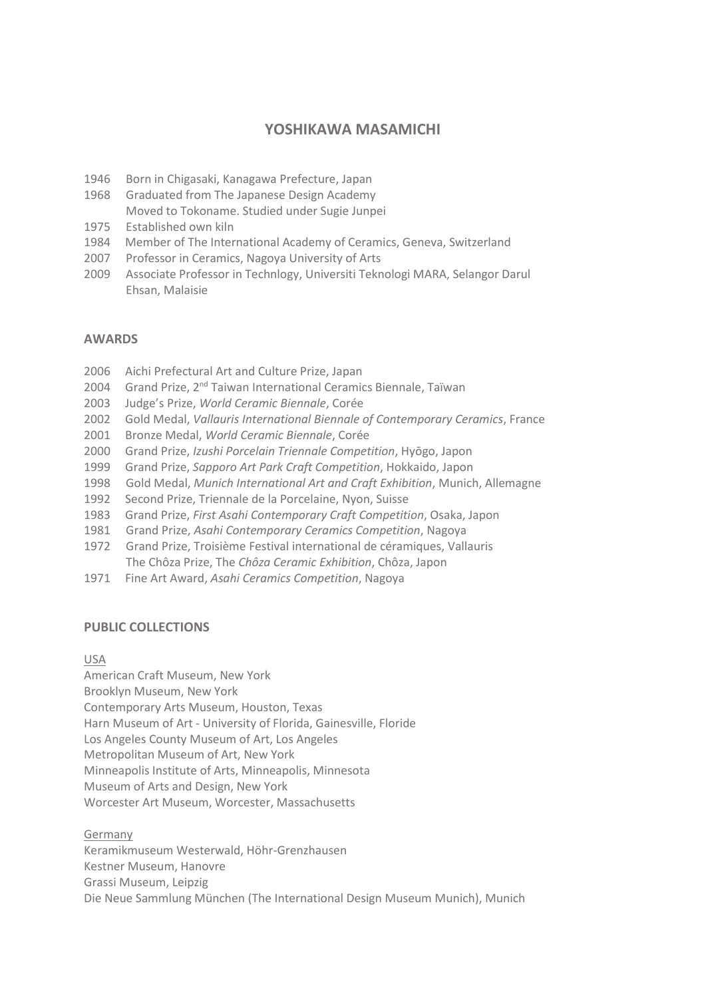## **YOSHIKAWA MASAMICHI**

- 1946 Born in Chigasaki, Kanagawa Prefecture, Japan
- 1968 Graduated from The Japanese Design Academy Moved to Tokoname. Studied under Sugie Junpei
- 1975 Established own kiln
- 1984 Member of The International Academy of Ceramics, Geneva, Switzerland
- 2007 Professor in Ceramics, Nagoya University of Arts
- 2009 Associate Professor in Technlogy, Universiti Teknologi MARA, Selangor Darul Ehsan, Malaisie

#### **AWARDS**

- 2006 Aichi Prefectural Art and Culture Prize, Japan
- 2004 Grand Prize, 2<sup>nd</sup> Taiwan International Ceramics Biennale, Taïwan
- 2003 Judge's Prize, *World Ceramic Biennale*, Corée
- 2002 Gold Medal, *Vallauris International Biennale of Contemporary Ceramics*, France
- 2001 Bronze Medal, *World Ceramic Biennale*, Corée
- 2000 Grand Prize, *Izushi Porcelain Triennale Competition*, Hyōgo, Japon
- 1999 Grand Prize, *Sapporo Art Park Craft Competition*, Hokkaido, Japon
- 1998 Gold Medal, *Munich International Art and Craft Exhibition*, Munich, Allemagne
- 1992 Second Prize, Triennale de la Porcelaine, Nyon, Suisse
- 1983 Grand Prize, *First Asahi Contemporary Craft Competition*, Osaka, Japon
- 1981 Grand Prize, *Asahi Contemporary Ceramics Competition*, Nagoya
- 1972 Grand Prize, Troisième Festival international de céramiques, Vallauris The Chôza Prize, The *Chôza Ceramic Exhibition*, Chôza, Japon
- 1971 Fine Art Award, *Asahi Ceramics Competition*, Nagoya

### **PUBLIC COLLECTIONS**

#### USA

American Craft Museum, New York Brooklyn Museum, New York Contemporary Arts Museum, Houston, Texas Harn Museum of Art - University of Florida, Gainesville, Floride Los Angeles County Museum of Art, Los Angeles Metropolitan Museum of Art, New York Minneapolis Institute of Arts, Minneapolis, Minnesota Museum of Arts and Design, New York Worcester Art Museum, Worcester, Massachusetts

#### Germany

Keramikmuseum Westerwald, Höhr-Grenzhausen Kestner Museum, Hanovre Grassi Museum, Leipzig Die Neue Sammlung München (The International Design Museum Munich), Munich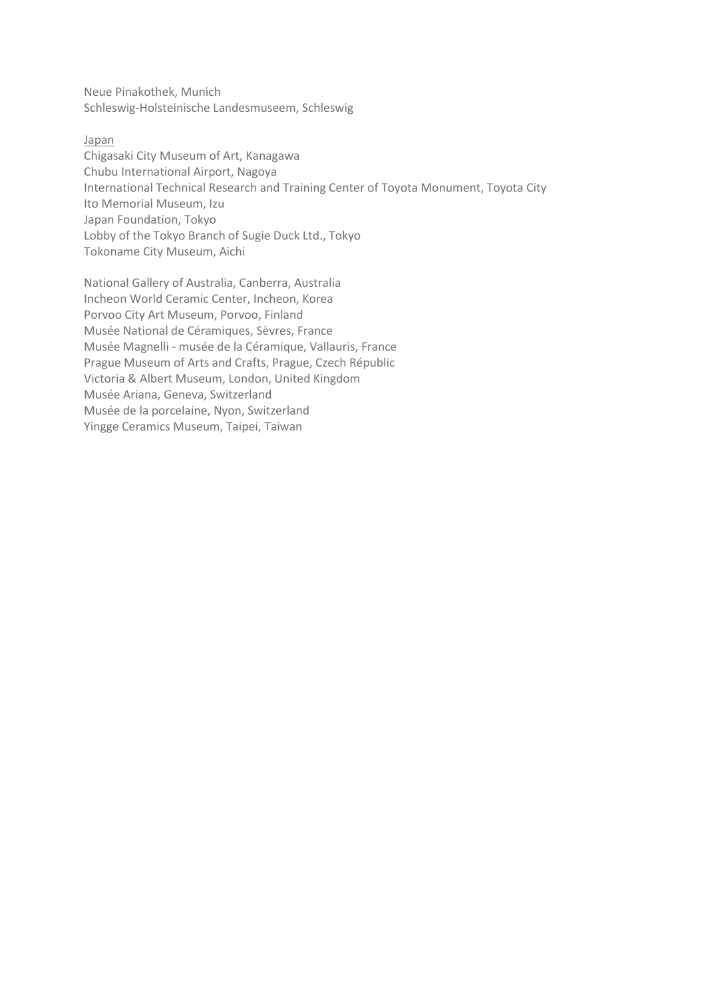Neue Pinakothek, Munich Schleswig-Holsteinische Landesmuseem, Schleswig

#### Japan

Chigasaki City Museum of Art, Kanagawa Chubu International Airport, Nagoya International Technical Research and Training Center of Toyota Monument, Toyota City Ito Memorial Museum, Izu Japan Foundation, Tokyo Lobby of the Tokyo Branch of Sugie Duck Ltd., Tokyo Tokoname City Museum, Aichi

National Gallery of Australia, Canberra, Australia Incheon World Ceramic Center, Incheon, Korea Porvoo City Art Museum, Porvoo, Finland Musée National de Céramiques, Sèvres, France Musée Magnelli - musée de la Céramique, Vallauris, France Prague Museum of Arts and Crafts, Prague, Czech Républic Victoria & Albert Museum, London, United Kingdom Musée Ariana, Geneva, Switzerland Musée de la porcelaine, Nyon, Switzerland Yingge Ceramics Museum, Taipei, Taiwan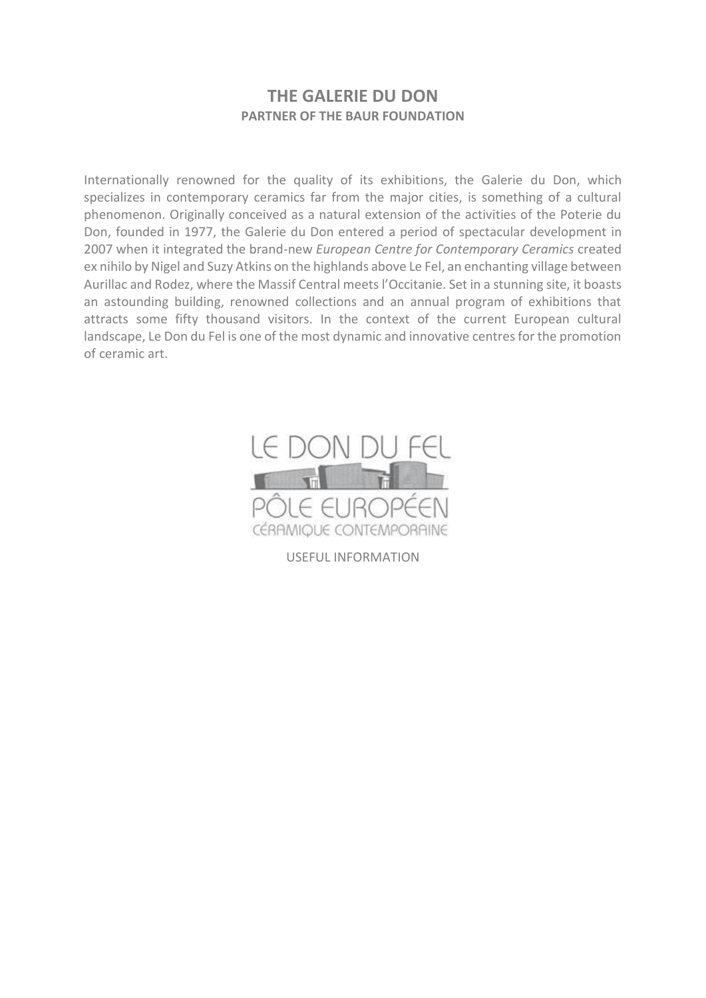## **THE GALERIE DU DON PARTNER OF THE BAUR FOUNDATION**

Internationally renowned for the quality of its exhibitions, the Galerie du Don, which specializes in contemporary ceramics far from the major cities, is something of a cultural phenomenon. Originally conceived as a natural extension of the activities of the Poterie du Don, founded in 1977, the Galerie du Don entered a period of spectacular development in 2007 when it integrated the brand-new *European Centre for Contemporary Ceramics* created ex nihilo by Nigel and Suzy Atkins on the highlands above Le Fel, an enchanting village between Aurillac and Rodez, where the Massif Central meets l'Occitanie. Set in a stunning site, it boasts an astounding building, renowned collections and an annual program of exhibitions that attracts some fifty thousand visitors. In the context of the current European cultural landscape, Le Don du Fel is one of the most dynamic and innovative centres for the promotion of ceramic art.



USEFUL INFORMATION